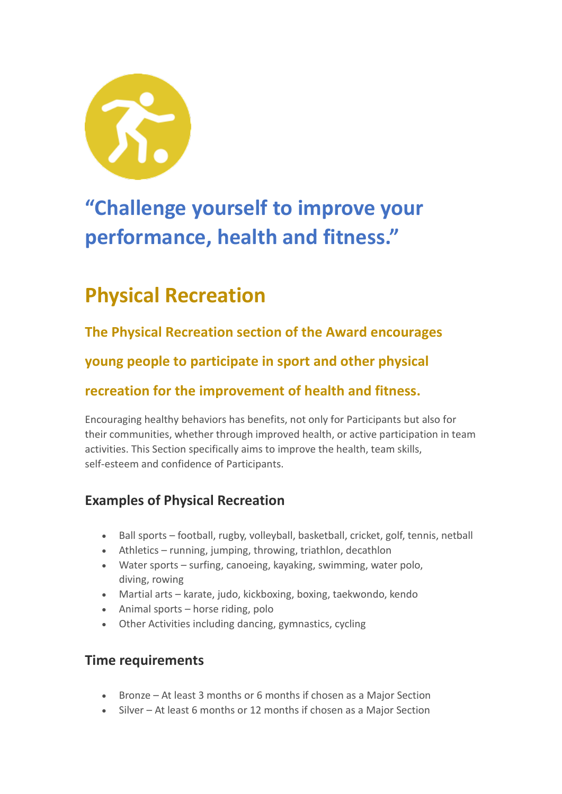

# **"Challenge yourself to improve your performance, health and fitness."**

## **Physical Recreation**

**The Physical Recreation section of the Award encourages** 

**young people to participate in sport and other physical** 

### **recreation for the improvement of health and fitness.**

Encouraging healthy behaviors has benefits, not only for Participants but also for their communities, whether through improved health, or active participation in team activities. This Section specifically aims to improve the health, team skills, self-esteem and confidence of Participants.

### **Examples of Physical Recreation**

- Ball sports football, rugby, volleyball, basketball, cricket, golf, tennis, netball
- Athletics running, jumping, throwing, triathlon, decathlon
- Water sports surfing, canoeing, kayaking, swimming, water polo, diving, rowing
- Martial arts karate, judo, kickboxing, boxing, taekwondo, kendo
- Animal sports horse riding, polo
- Other Activities including dancing, gymnastics, cycling

#### **Time requirements**

- Bronze At least 3 months or 6 months if chosen as a Major Section
- Silver At least 6 months or 12 months if chosen as a Major Section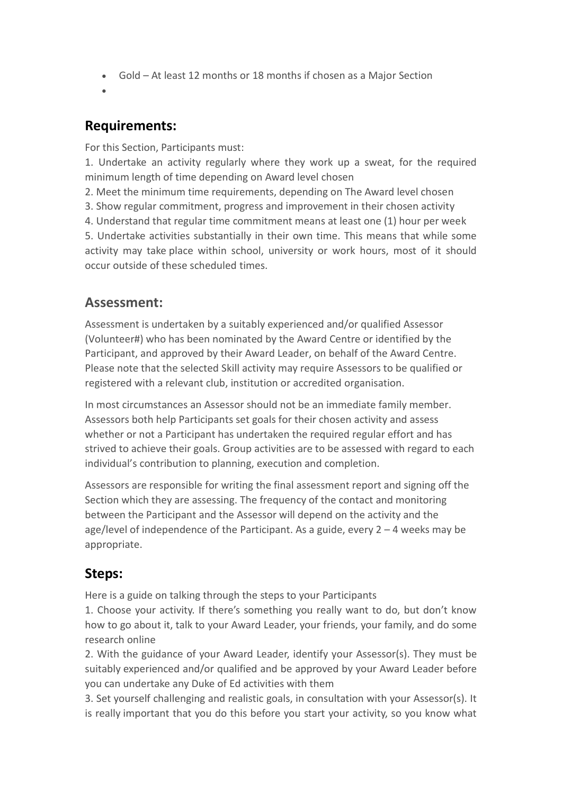- Gold At least 12 months or 18 months if chosen as a Major Section
- •

#### **Requirements:**

For this Section, Participants must:

1. Undertake an activity regularly where they work up a sweat, for the required minimum length of time depending on Award level chosen

2. Meet the minimum time requirements, depending on The Award level chosen

3. Show regular commitment, progress and improvement in their chosen activity

4. Understand that regular time commitment means at least one (1) hour per week

5. Undertake activities substantially in their own time. This means that while some activity may take place within school, university or work hours, most of it should occur outside of these scheduled times.

#### **Assessment:**

Assessment is undertaken by a suitably experienced and/or qualified Assessor (Volunteer#) who has been nominated by the Award Centre or identified by the Participant, and approved by their Award Leader, on behalf of the Award Centre. Please note that the selected Skill activity may require Assessors to be qualified or registered with a relevant club, institution or accredited organisation.

In most circumstances an Assessor should not be an immediate family member. Assessors both help Participants set goals for their chosen activity and assess whether or not a Participant has undertaken the required regular effort and has strived to achieve their goals. Group activities are to be assessed with regard to each individual's contribution to planning, execution and completion.

Assessors are responsible for writing the final assessment report and signing off the Section which they are assessing. The frequency of the contact and monitoring between the Participant and the Assessor will depend on the activity and the age/level of independence of the Participant. As a guide, every  $2 - 4$  weeks may be appropriate.

#### **Steps:**

Here is a guide on talking through the steps to your Participants

1. Choose your activity. If there's something you really want to do, but don't know how to go about it, talk to your Award Leader, your friends, your family, and do some research online

2. With the guidance of your Award Leader, identify your Assessor(s). They must be suitably experienced and/or qualified and be approved by your Award Leader before you can undertake any Duke of Ed activities with them

3. Set yourself challenging and realistic goals, in consultation with your Assessor(s). It is really important that you do this before you start your activity, so you know what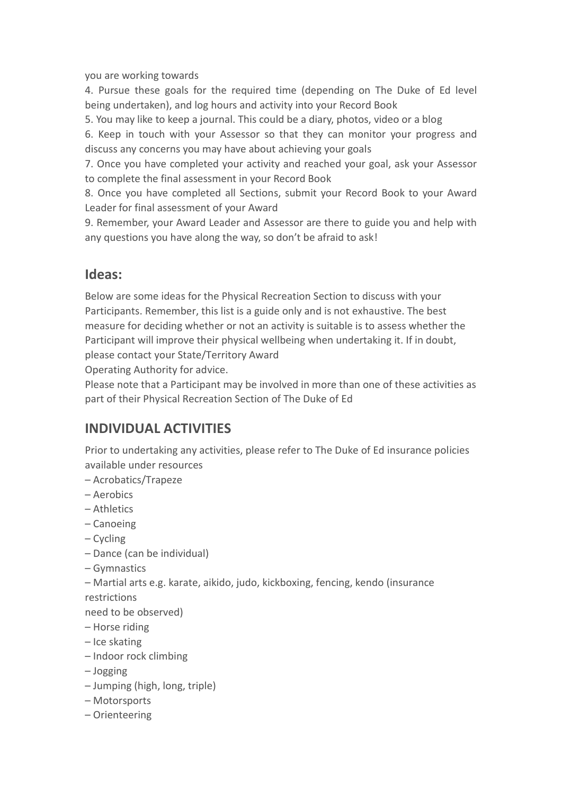you are working towards

4. Pursue these goals for the required time (depending on The Duke of Ed level being undertaken), and log hours and activity into your Record Book

5. You may like to keep a journal. This could be a diary, photos, video or a blog

6. Keep in touch with your Assessor so that they can monitor your progress and discuss any concerns you may have about achieving your goals

7. Once you have completed your activity and reached your goal, ask your Assessor to complete the final assessment in your Record Book

8. Once you have completed all Sections, submit your Record Book to your Award Leader for final assessment of your Award

9. Remember, your Award Leader and Assessor are there to guide you and help with any questions you have along the way, so don't be afraid to ask!

#### **Ideas:**

Below are some ideas for the Physical Recreation Section to discuss with your Participants. Remember, this list is a guide only and is not exhaustive. The best measure for deciding whether or not an activity is suitable is to assess whether the Participant will improve their physical wellbeing when undertaking it. If in doubt, please contact your State/Territory Award

Operating Authority for advice.

Please note that a Participant may be involved in more than one of these activities as part of their Physical Recreation Section of The Duke of Ed

#### **INDIVIDUAL ACTIVITIES**

Prior to undertaking any activities, please refer to The Duke of Ed insurance policies available under resources

- Acrobatics/Trapeze
- Aerobics
- Athletics
- Canoeing
- Cycling
- Dance (can be individual)
- Gymnastics
- Martial arts e.g. karate, aikido, judo, kickboxing, fencing, kendo (insurance restrictions

need to be observed)

- Horse riding
- Ice skating
- Indoor rock climbing
- Jogging
- Jumping (high, long, triple)
- Motorsports
- Orienteering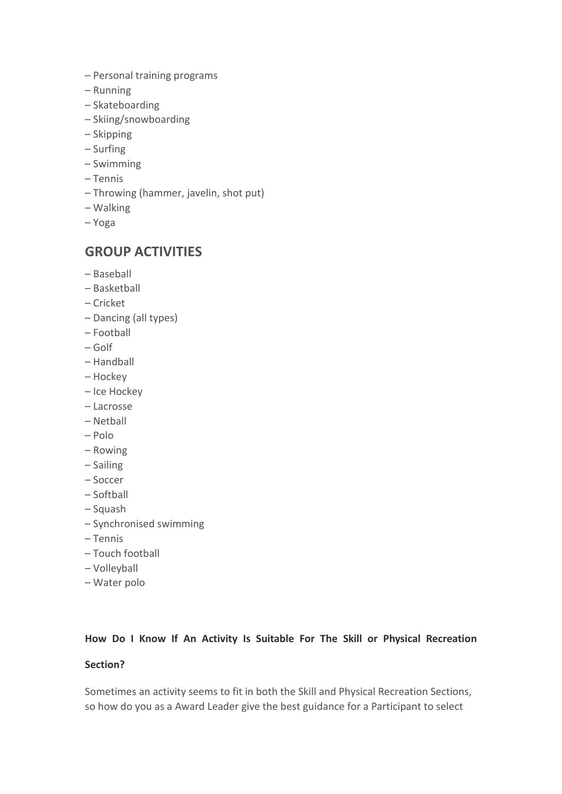- Personal training programs
- Running
- Skateboarding
- Skiing/snowboarding
- Skipping
- Surfing
- Swimming
- Tennis
- Throwing (hammer, javelin, shot put)
- Walking
- Yoga

#### **GROUP ACTIVITIES**

- Baseball
- Basketball
- Cricket
- Dancing (all types)
- Football
- Golf
- Handball
- Hockey
- Ice Hockey
- Lacrosse
- Netball
- Polo
- Rowing
- Sailing
- Soccer
- Softball
- Squash
- Synchronised swimming
- Tennis
- Touch football
- Volleyball
- Water polo

#### **How Do I Know If An Activity Is Suitable For The Skill or Physical Recreation**

#### **Section?**

Sometimes an activity seems to fit in both the Skill and Physical Recreation Sections, so how do you as a Award Leader give the best guidance for a Participant to select